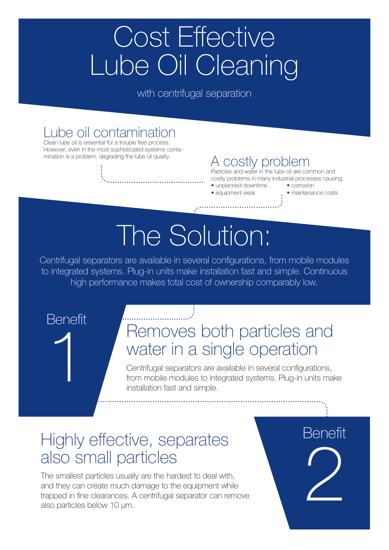## Cost Effective Lube Oil Cleaning

with centrifugal separation

### Lube oil contamination

Clean lube oil is essential for a trouble free process. However, even in the most sophisticated systems conta-<br>mination is a problem, degrading the lube oil quality.

#### A costly problem

Particles and water in the lube oil are common and costly problems in many industrial processes causing:

- unplanned downtime corrosion
- equipment wear maintenance costs

# The Solution:

Centrifugal separators are available in several configurations, from mobile modules to integrated systems. Plug-in units make installation fast and simple. Continuous high performance makes total cost of ownership comparably low.

1

### Benefit Removes both particles and water in a single operation

Centrifugal separators are available in several configurations, from mobile modules to integrated systems. Plug-in units make installation fast and simple.

### Highly effective, separates also small particles

The smallest particles usually are the hardest to deal with, and they can create much damage to the equipment while trapped in fine clearances. A centrifugal separator can remove also particles below 10 μm.

 $\sum$ **Benefit**